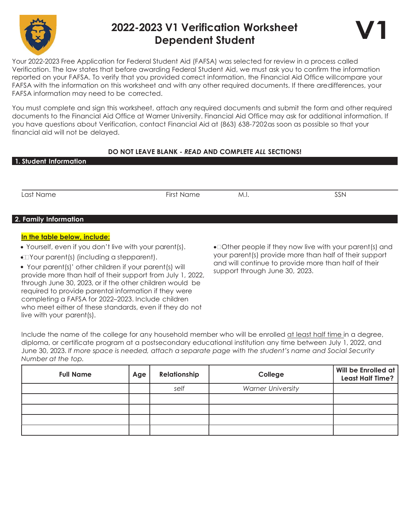

## 2022-2023 V1 Verification Worksheet Dependent Student



Your 2022-2023 Free Application for Federal Student Aid (FAFSA) was selected for review in a process called Verification. The law states that before awarding Federal Student Aid, we must ask you to confirm the information reported on your FAFSA. To verify that you provided correct information, the Financial Aid Office will compare your FAFSA with the information on this worksheet and with any other required documents. If there are differences, your FAFSA information may need to be corrected.

You must complete and sign this worksheet, attach any required documents and submit the form and other required documents to the Financial Aid Office at Warner University. Financial Aid Office may ask for additional information. If you have questions about Verification, contact Financial Aid at (863) 638-7202 as soon as possible so that your financial aid will not be delayed.

## DO NOT LEAVE BLANK - READ AND COMPLETE ALL SECTIONS!

| <u>1. Stu</u> dent Information                          |            |                                                                                                                |     |  |
|---------------------------------------------------------|------------|----------------------------------------------------------------------------------------------------------------|-----|--|
|                                                         |            |                                                                                                                |     |  |
|                                                         |            |                                                                                                                |     |  |
| Last Name                                               | First Name | M.I.                                                                                                           | SSN |  |
|                                                         |            |                                                                                                                |     |  |
| 2. Family Information                                   |            |                                                                                                                |     |  |
| In the table below, include:                            |            |                                                                                                                |     |  |
| • Yourself, even if you don't live with your parent(s). |            | • Other people if they now live with your parent(s) and                                                        |     |  |
| $\bigoplus$ Your parent(s) (including a stepparent).    |            | your parent(s) provide more than half of their support<br>and will continue to provide more than half of their |     |  |

 Your parent(s)' other children if your parent(s) will provide more than half of their support from July 1, 2022, through June 30, 2023, or if the other children would be required to provide parental information if they were completing a FAFSA for 2022–2023. Include children who meet either of these standards, even if they do not live with your parent(s).

and will continue to provide more than half of their support through June 30, 2023.

Include the name of the college for any household member who will be enrolled at least half time in a degree, diploma, or certificate program at a postsecondary educational institution any time between July 1, 2022, and June 30, 2023. If more space is needed, attach a separate page with the student's name and Social Security Number at the top.

| <b>Full Name</b> | Age | Relationship | College                  | Will be Enrolled at<br><b>Least Half Time?</b> |
|------------------|-----|--------------|--------------------------|------------------------------------------------|
|                  |     | self         | <b>Warner University</b> |                                                |
|                  |     |              |                          |                                                |
|                  |     |              |                          |                                                |
|                  |     |              |                          |                                                |
|                  |     |              |                          |                                                |